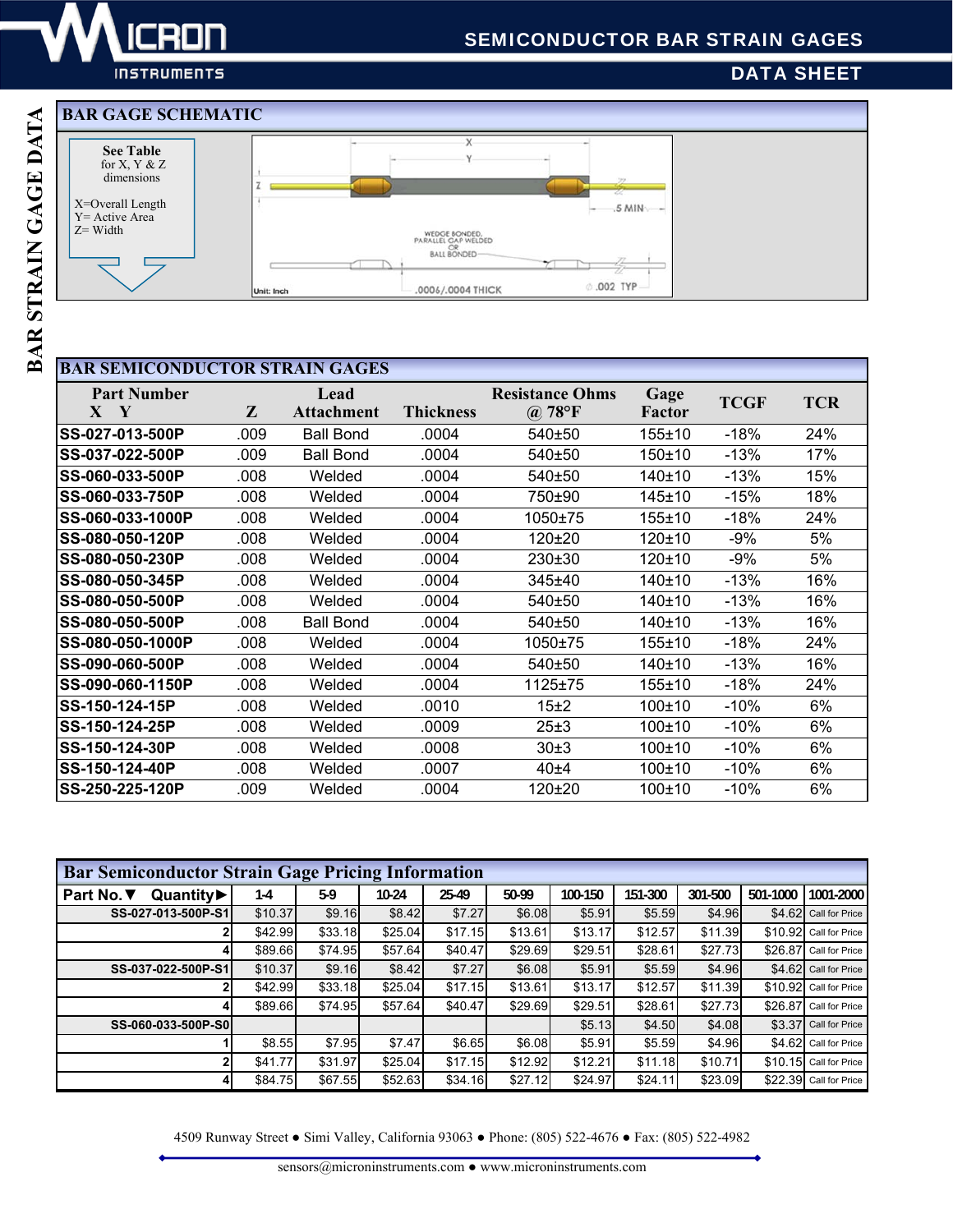

**INSTRUMENTS** 

# DATA SHEET

## **BAR GAGE SCHEMATIC**



## **BAR SEMICONDUCTOR STRAIN GAGES**

| $\mathbf{X}$<br>$\mathbf{Y}$ | <b>Part Number</b>      | Z    | Lead<br><b>Attachment</b> | <b>Thickness</b> | <b>Resistance Ohms</b><br>78°F<br>$\left(\widehat{\boldsymbol{a}}\right)$ | Gage<br>Factor | <b>TCGF</b> | <b>TCR</b> |
|------------------------------|-------------------------|------|---------------------------|------------------|---------------------------------------------------------------------------|----------------|-------------|------------|
| <b>SS-027-013-500P</b>       |                         | .009 | <b>Ball Bond</b>          | .0004            | 540±50                                                                    | $155 + 10$     | $-18%$      | 24%        |
| <b>SS-037-022-500P</b>       |                         | .009 | <b>Ball Bond</b>          | .0004            | 540±50                                                                    | $150 + 10$     | $-13%$      | 17%        |
| <b>ISS-060-033-500P</b>      |                         | .008 | Welded                    | .0004            | 540±50                                                                    | 140±10         | $-13%$      | 15%        |
| <b>SS-060-033-750P</b>       |                         | .008 | Welded                    | .0004            | 750±90                                                                    | 145±10         | $-15%$      | 18%        |
|                              | <b>SS-060-033-1000P</b> | .008 | Welded                    | .0004            | 1050±75                                                                   | 155±10         | $-18%$      | 24%        |
| <b>SS-080-050-120P</b>       |                         | .008 | Welded                    | .0004            | $120+20$                                                                  | 120±10         | $-9%$       | 5%         |
| <b>SS-080-050-230P</b>       |                         | .008 | Welded                    | .0004            | 230±30                                                                    | 120±10         | $-9%$       | 5%         |
| <b>SS-080-050-345P</b>       |                         | .008 | Welded                    | .0004            | 345±40                                                                    | 140±10         | $-13%$      | 16%        |
| SS-080-050-500P              |                         | .008 | Welded                    | .0004            | 540±50                                                                    | 140±10         | $-13%$      | 16%        |
| SS-080-050-500P              |                         | .008 | <b>Ball Bond</b>          | .0004            | 540±50                                                                    | 140±10         | $-13%$      | 16%        |
|                              | <b>SS-080-050-1000P</b> | .008 | Welded                    | .0004            | 1050±75                                                                   | 155±10         | $-18%$      | 24%        |
| <b>SS-090-060-500P</b>       |                         | .008 | Welded                    | .0004            | 540±50                                                                    | 140±10         | $-13%$      | 16%        |
|                              | <b>SS-090-060-1150P</b> | .008 | Welded                    | .0004            | 1125±75                                                                   | 155±10         | $-18%$      | 24%        |
| ISS-150-124-15P              |                         | .008 | Welded                    | .0010            | 15±2                                                                      | 100±10         | $-10%$      | 6%         |
| <b>SS-150-124-25P</b>        |                         | .008 | Welded                    | .0009            | 25±3                                                                      | 100±10         | $-10%$      | 6%         |
| SS-150-124-30P               |                         | .008 | Welded                    | .0008            | 30±3                                                                      | 100±10         | $-10%$      | 6%         |
| <b>ISS-150-124-40P</b>       |                         | .008 | Welded                    | .0007            | 40±4                                                                      | 100±10         | $-10%$      | 6%         |
| <b>SS-250-225-120P</b>       |                         | .009 | Welded                    | .0004            | $120+20$                                                                  | 100±10         | $-10%$      | 6%         |

| <b>Bar Semiconductor Strain Gage Pricing Information</b> |         |         |         |         |         |         |         |         |          |                        |
|----------------------------------------------------------|---------|---------|---------|---------|---------|---------|---------|---------|----------|------------------------|
| Part No. ▼<br>Quantity▶                                  | $1-4$   | 5.9     | 10-24   | 25-49   | 50-99   | 100-150 | 151-300 | 301-500 | 501-1000 | 1001-2000              |
| SS-027-013-500P-S1                                       | \$10.37 | \$9.16  | \$8.42  | \$7.27  | \$6.08  | \$5.91  | \$5.59  | \$4.96  |          | \$4.62 Call for Price  |
|                                                          | \$42.99 | \$33.18 | \$25.04 | \$17.15 | \$13.61 | \$13.17 | \$12.57 | \$11.39 |          | \$10.92 Call for Price |
|                                                          | \$89.66 | \$74.95 | \$57.64 | \$40.47 | \$29.69 | \$29.51 | \$28.61 | \$27.73 |          | \$26.87 Call for Price |
| SS-037-022-500P-S1                                       | \$10.37 | \$9.16  | \$8.42  | \$7.27  | \$6.08  | \$5.91  | \$5.59  | \$4.96  |          | \$4.62 Call for Price  |
|                                                          | \$42.99 | \$33.18 | \$25.04 | \$17.15 | \$13.61 | \$13.17 | \$12.57 | \$11.39 |          | \$10.92 Call for Price |
|                                                          | \$89.66 | \$74.95 | \$57.64 | \$40.47 | \$29.69 | \$29.51 | \$28.61 | \$27.73 |          | \$26.87 Call for Price |
| SS-060-033-500P-S0                                       |         |         |         |         |         | \$5.13  | \$4.50  | \$4.08  |          | \$3.37 Call for Price  |
|                                                          | \$8.55  | \$7.95  | \$7.47  | \$6.65  | \$6.08  | \$5.91  | \$5.59  | \$4.96  |          | \$4.62 Call for Price  |
|                                                          | \$41.77 | \$31.97 | \$25.04 | \$17.15 | \$12.92 | \$12.21 | \$11.18 | \$10.71 |          | \$10.15 Call for Price |
|                                                          | \$84.75 | \$67.55 | \$52.63 | \$34.16 | \$27.12 | \$24.97 | \$24.11 | \$23.09 |          | \$22.39 Call for Price |

4509 Runway Street ● Simi Valley, California 93063 ● Phone: (805) 522-4676 ● Fax: (805) 522-4982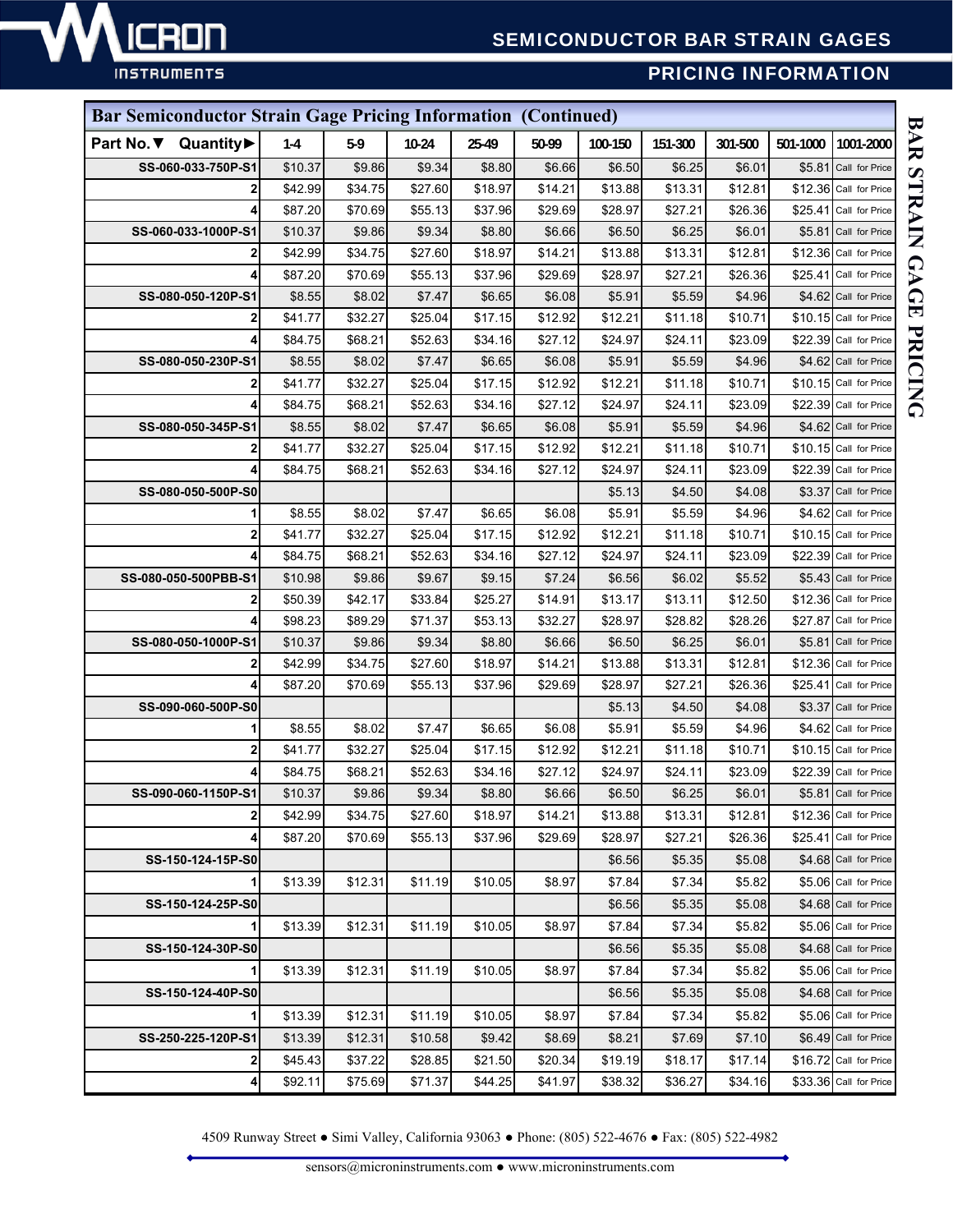

# SEMICONDUCTOR BAR STRAIN GAGES

**INSTRUMENTS** 

# PRICING INFORMATION

| <b>Bar Semiconductor Strain Gage Pricing Information (Continued)</b> |         |         |         |         |         |         |         |         |          |                        |
|----------------------------------------------------------------------|---------|---------|---------|---------|---------|---------|---------|---------|----------|------------------------|
| Part No. ▼ Quantity▶                                                 | $1-4$   | 5.9     | $10-24$ | 25-49   | 50-99   | 100-150 | 151-300 | 301-500 | 501-1000 | 1001-2000              |
| SS-060-033-750P-S1                                                   | \$10.37 | \$9.86  | \$9.34  | \$8.80  | \$6.66  | \$6.50  | \$6.25  | \$6.01  | \$5.81   | Call for Price         |
| 2                                                                    | \$42.99 | \$34.75 | \$27.60 | \$18.97 | \$14.21 | \$13.88 | \$13.31 | \$12.81 |          | \$12.36 Call for Price |
| 4                                                                    | \$87.20 | \$70.69 | \$55.13 | \$37.96 | \$29.69 | \$28.97 | \$27.21 | \$26.36 | \$25.41  | Call for Price         |
| SS-060-033-1000P-S1                                                  | \$10.37 | \$9.86  | \$9.34  | \$8.80  | \$6.66  | \$6.50  | \$6.25  | \$6.01  | \$5.81   | Call for Price         |
| 2                                                                    | \$42.99 | \$34.75 | \$27.60 | \$18.97 | \$14.21 | \$13.88 | \$13.31 | \$12.81 |          | \$12.36 Call for Price |
| 4                                                                    | \$87.20 | \$70.69 | \$55.13 | \$37.96 | \$29.69 | \$28.97 | \$27.21 | \$26.36 |          | \$25.41 Call for Price |
| SS-080-050-120P-S1                                                   | \$8.55  | \$8.02  | \$7.47  | \$6.65  | \$6.08  | \$5.91  | \$5.59  | \$4.96  |          | \$4.62 Call for Price  |
|                                                                      | \$41.77 | \$32.27 | \$25.04 | \$17.15 | \$12.92 | \$12.21 | \$11.18 | \$10.71 |          | \$10.15 Call for Price |
| 4                                                                    | \$84.75 | \$68.21 | \$52.63 | \$34.16 | \$27.12 | \$24.97 | \$24.11 | \$23.09 |          | \$22.39 Call for Price |
| SS-080-050-230P-S1                                                   | \$8.55  | \$8.02  | \$7.47  | \$6.65  | \$6.08  | \$5.91  | \$5.59  | \$4.96  |          | \$4.62 Call for Price  |
| 2                                                                    | \$41.77 | \$32.27 | \$25.04 | \$17.15 | \$12.92 | \$12.21 | \$11.18 | \$10.71 |          | \$10.15 Call for Price |
|                                                                      | \$84.75 | \$68.21 | \$52.63 | \$34.16 | \$27.12 | \$24.97 | \$24.11 | \$23.09 |          | \$22.39 Call for Price |
| SS-080-050-345P-S1                                                   | \$8.55  | \$8.02  | \$7.47  | \$6.65  | \$6.08  | \$5.91  | \$5.59  | \$4.96  |          | \$4.62 Call for Price  |
| 2                                                                    | \$41.77 | \$32.27 | \$25.04 | \$17.15 | \$12.92 | \$12.21 | \$11.18 | \$10.71 |          | \$10.15 Call for Price |
| 4                                                                    | \$84.75 | \$68.21 | \$52.63 | \$34.16 | \$27.12 | \$24.97 | \$24.11 | \$23.09 |          | \$22.39 Call for Price |
| SS-080-050-500P-S0                                                   |         |         |         |         |         | \$5.13  | \$4.50  | \$4.08  | \$3.37   | Call for Price         |
|                                                                      | \$8.55  | \$8.02  | \$7.47  | \$6.65  | \$6.08  | \$5.91  | \$5.59  | \$4.96  | \$4.62   | Call for Price         |
| 2                                                                    | \$41.77 | \$32.27 | \$25.04 | \$17.15 | \$12.92 | \$12.21 | \$11.18 | \$10.71 |          | \$10.15 Call for Price |
|                                                                      | \$84.75 | \$68.21 | \$52.63 | \$34.16 | \$27.12 | \$24.97 | \$24.11 | \$23.09 |          | \$22.39 Call for Price |
| SS-080-050-500PBB-S1                                                 | \$10.98 | \$9.86  | \$9.67  | \$9.15  | \$7.24  | \$6.56  | \$6.02  | \$5.52  |          | \$5.43 Call for Price  |
| 2                                                                    | \$50.39 | \$42.17 | \$33.84 | \$25.27 | \$14.91 | \$13.17 | \$13.11 | \$12.50 |          | \$12.36 Call for Price |
|                                                                      | \$98.23 | \$89.29 | \$71.37 | \$53.13 | \$32.27 | \$28.97 | \$28.82 | \$28.26 | \$27.87  | Call for Price         |
| SS-080-050-1000P-S1                                                  | \$10.37 | \$9.86  | \$9.34  | \$8.80  | \$6.66  | \$6.50  | \$6.25  | \$6.01  |          | \$5.81 Call for Price  |
| 2                                                                    | \$42.99 | \$34.75 | \$27.60 | \$18.97 | \$14.21 | \$13.88 | \$13.31 | \$12.81 |          | \$12.36 Call for Price |
|                                                                      | \$87.20 | \$70.69 | \$55.13 | \$37.96 | \$29.69 | \$28.97 | \$27.21 | \$26.36 |          | \$25.41 Call for Price |
| SS-090-060-500P-S0                                                   |         |         |         |         |         | \$5.13  | \$4.50  | \$4.08  |          | \$3.37 Call for Price  |
|                                                                      | \$8.55  | \$8.02  | \$7.47  | \$6.65  | \$6.08  | \$5.91  | \$5.59  | \$4.96  |          | \$4.62 Call for Price  |
| 2                                                                    | \$41.77 | \$32.27 | \$25.04 | \$17.15 | \$12.92 | \$12.21 | \$11.18 | \$10.71 |          | \$10.15 Call for Price |
|                                                                      | \$84.75 | \$68.21 | \$52.63 | \$34.16 | \$27.12 | \$24.97 | \$24.11 | \$23.09 |          | \$22.39 Call for Price |
| SS-090-060-1150P-S1                                                  | \$10.37 | \$9.86  | \$9.34  | \$8.80  | \$6.66  | \$6.50  | \$6.25  | \$6.01  |          | \$5.81 Call for Price  |
| $\mathbf{2}$                                                         | \$42.99 | \$34.75 | \$27.60 | \$18.97 | \$14.21 | \$13.88 | \$13.31 | \$12.81 |          | \$12.36 Call for Price |
|                                                                      | \$87.20 | \$70.69 | \$55.13 | \$37.96 | \$29.69 | \$28.97 | \$27.21 | \$26.36 |          | \$25.41 Call for Price |
| SS-150-124-15P-S0                                                    |         |         |         |         |         | \$6.56  | \$5.35  | \$5.08  |          | \$4.68 Call for Price  |
| 1                                                                    | \$13.39 | \$12.31 | \$11.19 | \$10.05 | \$8.97  | \$7.84  | \$7.34  | \$5.82  |          | \$5.06 Call for Price  |
| SS-150-124-25P-S0                                                    |         |         |         |         |         | \$6.56  | \$5.35  | \$5.08  |          | \$4.68 Call for Price  |
| 1                                                                    | \$13.39 | \$12.31 | \$11.19 | \$10.05 | \$8.97  | \$7.84  | \$7.34  | \$5.82  |          | \$5.06 Call for Price  |
| SS-150-124-30P-S0                                                    |         |         |         |         |         | \$6.56  | \$5.35  | \$5.08  |          | \$4.68 Call for Price  |
|                                                                      | \$13.39 | \$12.31 | \$11.19 | \$10.05 | \$8.97  | \$7.84  | \$7.34  | \$5.82  |          | \$5.06 Call for Price  |
| SS-150-124-40P-S0                                                    |         |         |         |         |         | \$6.56  | \$5.35  | \$5.08  |          | \$4.68 Call for Price  |
| 11                                                                   | \$13.39 | \$12.31 | \$11.19 | \$10.05 | \$8.97  | \$7.84  | \$7.34  | \$5.82  |          | \$5.06 Call for Price  |
| SS-250-225-120P-S1                                                   | \$13.39 | \$12.31 | \$10.58 | \$9.42  | \$8.69  | \$8.21  | \$7.69  | \$7.10  |          | \$6.49 Call for Price  |
| 2                                                                    | \$45.43 | \$37.22 | \$28.85 | \$21.50 | \$20.34 | \$19.19 | \$18.17 | \$17.14 |          | \$16.72 Call for Price |
| 4                                                                    | \$92.11 | \$75.69 | \$71.37 | \$44.25 | \$41.97 | \$38.32 | \$36.27 | \$34.16 |          | \$33.36 Call for Price |

4509 Runway Street ● Simi Valley, California 93063 ● Phone: (805) 522-4676 ● Fax: (805) 522-4982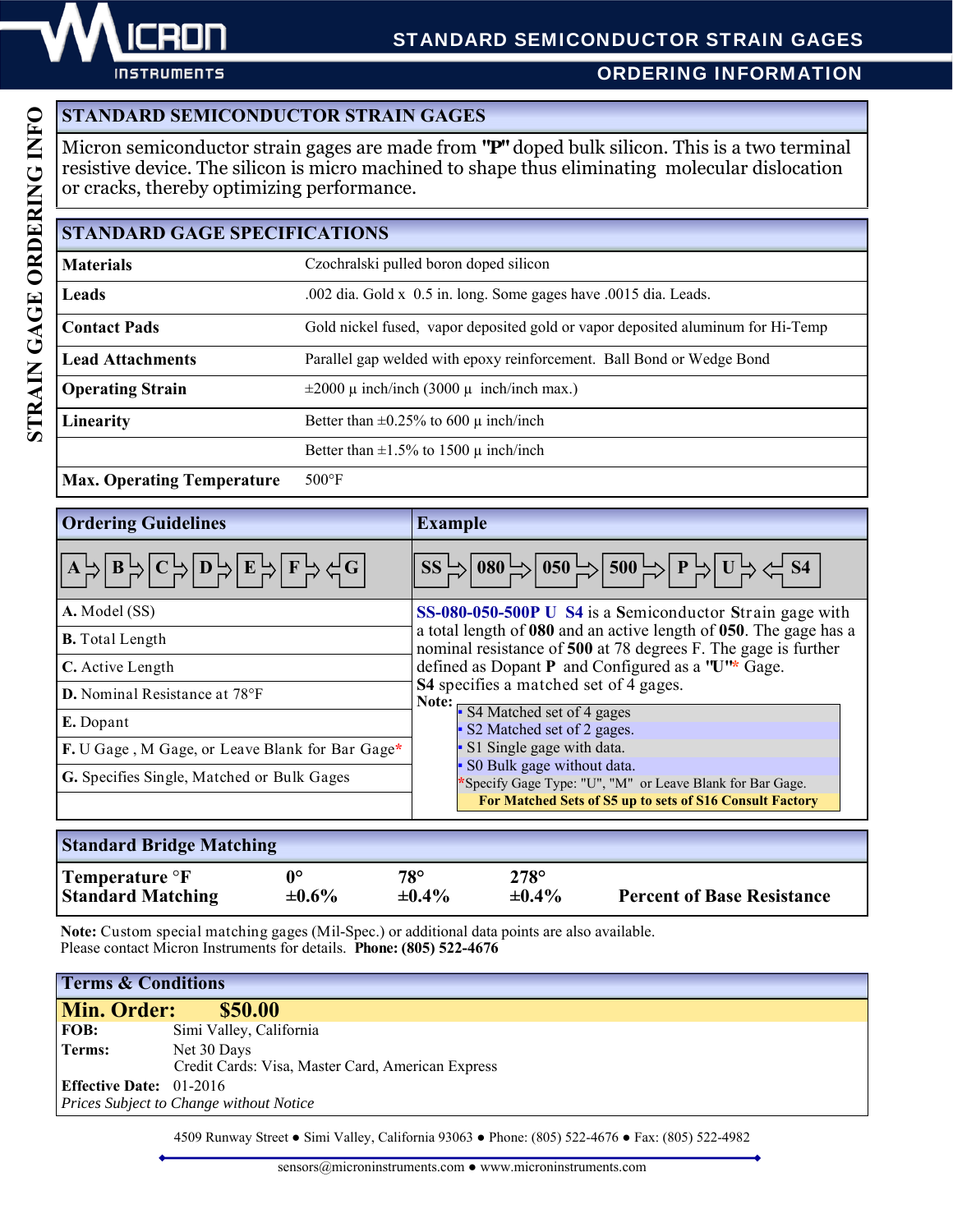

ORDERING INFORMATION

# **STANDARD SEMICONDUCTOR STRAIN GAGES**

Micron semiconductor strain gages are made from **"P"** doped bulk silicon. This is a two terminal resistive device. The silicon is micro machined to shape thus eliminating molecular dislocation or cracks, thereby optimizing performance.

| <b>STANDARD GAGE SPECIFICATIONS</b>                                       |                                                                                 |  |  |  |  |  |  |
|---------------------------------------------------------------------------|---------------------------------------------------------------------------------|--|--|--|--|--|--|
| <b>Materials</b><br>Czochralski pulled boron doped silicon                |                                                                                 |  |  |  |  |  |  |
| Leads<br>.002 dia. Gold x 0.5 in. long. Some gages have .0015 dia. Leads. |                                                                                 |  |  |  |  |  |  |
| <b>Contact Pads</b>                                                       | Gold nickel fused, vapor deposited gold or vapor deposited aluminum for Hi-Temp |  |  |  |  |  |  |
| <b>Lead Attachments</b>                                                   | Parallel gap welded with epoxy reinforcement. Ball Bond or Wedge Bond           |  |  |  |  |  |  |
| <b>Operating Strain</b>                                                   | $\pm 2000 \mu$ inch/inch (3000 $\mu$ inch/inch max.)                            |  |  |  |  |  |  |
| Linearity                                                                 | Better than $\pm 0.25\%$ to 600 $\mu$ inch/inch                                 |  |  |  |  |  |  |
|                                                                           | Better than $\pm 1.5\%$ to 1500 $\mu$ inch/inch                                 |  |  |  |  |  |  |

**Max. Operating Temperature** 500°F

| <b>Ordering Guidelines</b>                                                                                                                                                                                                                                                                                                                                                  | <b>Example</b>                                                                                                                                                                                                                                                                         |  |  |  |  |  |
|-----------------------------------------------------------------------------------------------------------------------------------------------------------------------------------------------------------------------------------------------------------------------------------------------------------------------------------------------------------------------------|----------------------------------------------------------------------------------------------------------------------------------------------------------------------------------------------------------------------------------------------------------------------------------------|--|--|--|--|--|
| $\boxed{\left \mathbf{A}\overset{\mathsf{L}}{\rightarrow}\right \mathbf{B}\overset{\mathsf{L}}{\rightarrow}\right \mathbf{C}\overset{\mathsf{L}}{\rightarrow}\left \mathbf{D}\overset{\mathsf{L}}{\rightarrow}\right \mathbf{E}\overset{\mathsf{L}}{\rightarrow}\right \mathbf{F}\overset{\mathsf{L}}{\rightarrow}\zeta\overset{\mathsf{L}}{\rightarrow}\mathbf{G}\right }$ | $\overline{\left \textrm{SS}\right }\rightarrow \left \overline{080}\right  \rightarrow \left \overline{050}\right  \rightarrow \left \overline{500}\right  \rightarrow \left \overline{P}\right  \rightarrow \left \overline{U}\right  \rightarrow \left\langle \overline{S4}\right $ |  |  |  |  |  |
| A. Model (SS)                                                                                                                                                                                                                                                                                                                                                               | SS-080-050-500P U S4 is a Semiconductor Strain gage with                                                                                                                                                                                                                               |  |  |  |  |  |
| <b>B.</b> Total Length                                                                                                                                                                                                                                                                                                                                                      | a total length of 080 and an active length of 050. The gage has a<br>nominal resistance of 500 at 78 degrees F. The gage is further<br>defined as Dopant P and Configured as a 'U'* Gage.<br>S4 specifies a matched set of 4 gages.                                                    |  |  |  |  |  |
| C. Active Length                                                                                                                                                                                                                                                                                                                                                            |                                                                                                                                                                                                                                                                                        |  |  |  |  |  |
| D. Nominal Resistance at 78°F                                                                                                                                                                                                                                                                                                                                               |                                                                                                                                                                                                                                                                                        |  |  |  |  |  |
| E. Dopant                                                                                                                                                                                                                                                                                                                                                                   | Note: S4 Matched set of 4 gages<br>• S2 Matched set of 2 gages.                                                                                                                                                                                                                        |  |  |  |  |  |
| F. U Gage, M Gage, or Leave Blank for Bar Gage*                                                                                                                                                                                                                                                                                                                             | S1 Single gage with data.                                                                                                                                                                                                                                                              |  |  |  |  |  |
| G. Specifies Single, Matched or Bulk Gages                                                                                                                                                                                                                                                                                                                                  | S0 Bulk gage without data.<br>'Specify Gage Type: "U", "M" or Leave Blank for Bar Gage.                                                                                                                                                                                                |  |  |  |  |  |
|                                                                                                                                                                                                                                                                                                                                                                             | For Matched Sets of S5 up to sets of S16 Consult Factory                                                                                                                                                                                                                               |  |  |  |  |  |
| <b>Standard Bridge Matching</b>                                                                                                                                                                                                                                                                                                                                             |                                                                                                                                                                                                                                                                                        |  |  |  |  |  |

| <b>Standard Bridge Matching</b> |             |             |             |                                   |  |  |  |  |  |
|---------------------------------|-------------|-------------|-------------|-----------------------------------|--|--|--|--|--|
| Temperature $\mathrm{P}F$       | ∩∘          | 78°         | $278^\circ$ | <b>Percent of Base Resistance</b> |  |  |  |  |  |
| <b>Standard Matching</b>        | $\pm 0.6\%$ | $\pm 0.4\%$ | $\pm 0.4\%$ |                                   |  |  |  |  |  |

**Note:** Custom special matching gages (Mil-Spec.) or additional data points are also available. Please contact Micron Instruments for details. **Phone: (805) 522-4676** 

| <b>Terms &amp; Conditions</b> |                                                                  |  |  |  |  |  |  |  |
|-------------------------------|------------------------------------------------------------------|--|--|--|--|--|--|--|
| Min. Order:<br>\$50.00        |                                                                  |  |  |  |  |  |  |  |
| <b>FOB:</b>                   | Simi Valley, California                                          |  |  |  |  |  |  |  |
| Terms:                        | Net 30 Days<br>Credit Cards: Visa, Master Card, American Express |  |  |  |  |  |  |  |
|                               | <b>Effective Date:</b> $01-2016$                                 |  |  |  |  |  |  |  |
|                               | <b>Prices Subject to Change without Notice</b>                   |  |  |  |  |  |  |  |

4509 Runway Street ● Simi Valley, California 93063 ● Phone: (805) 522-4676 ● Fax: (805) 522-4982

sensors@microninstruments.com ● www.microninstruments.com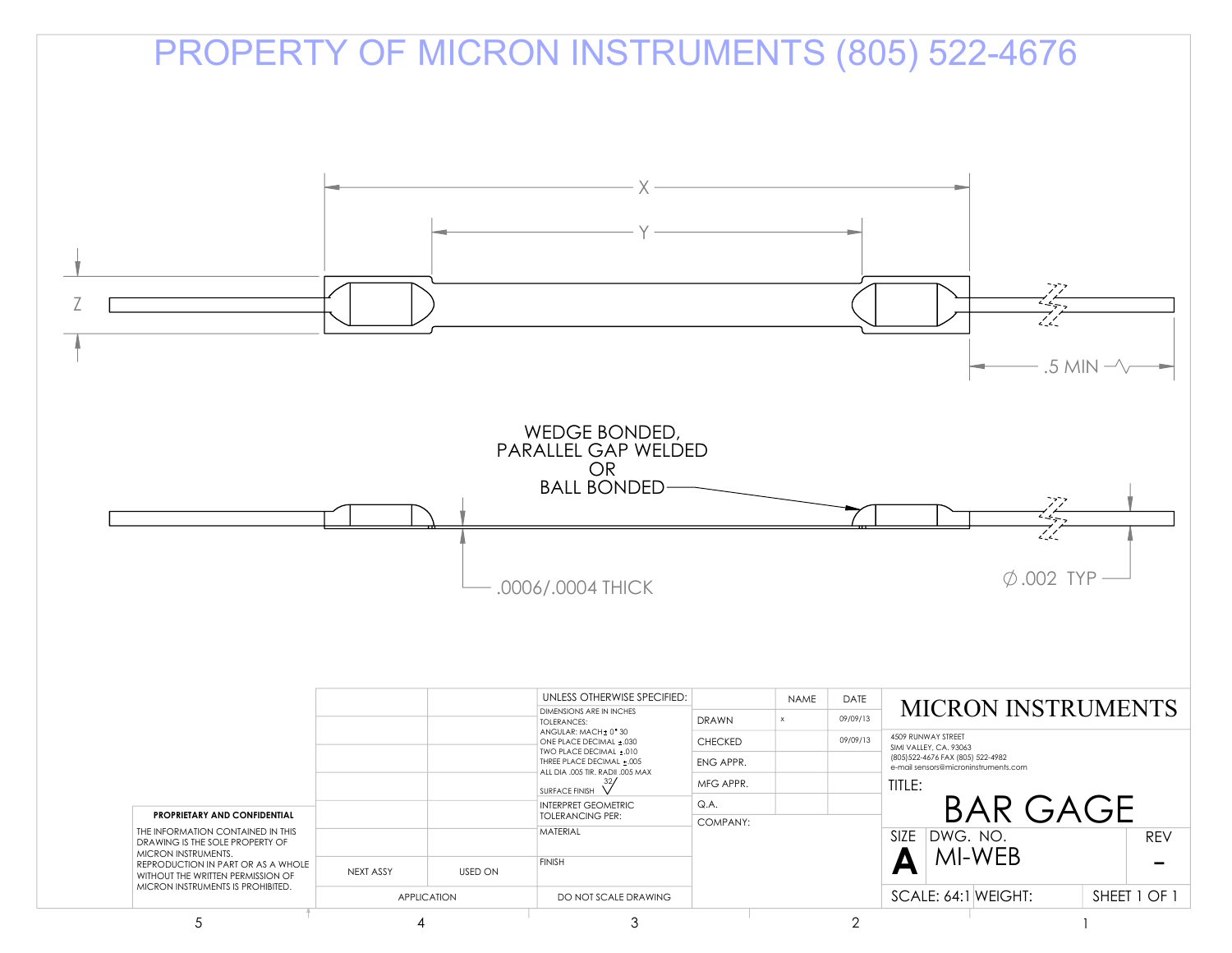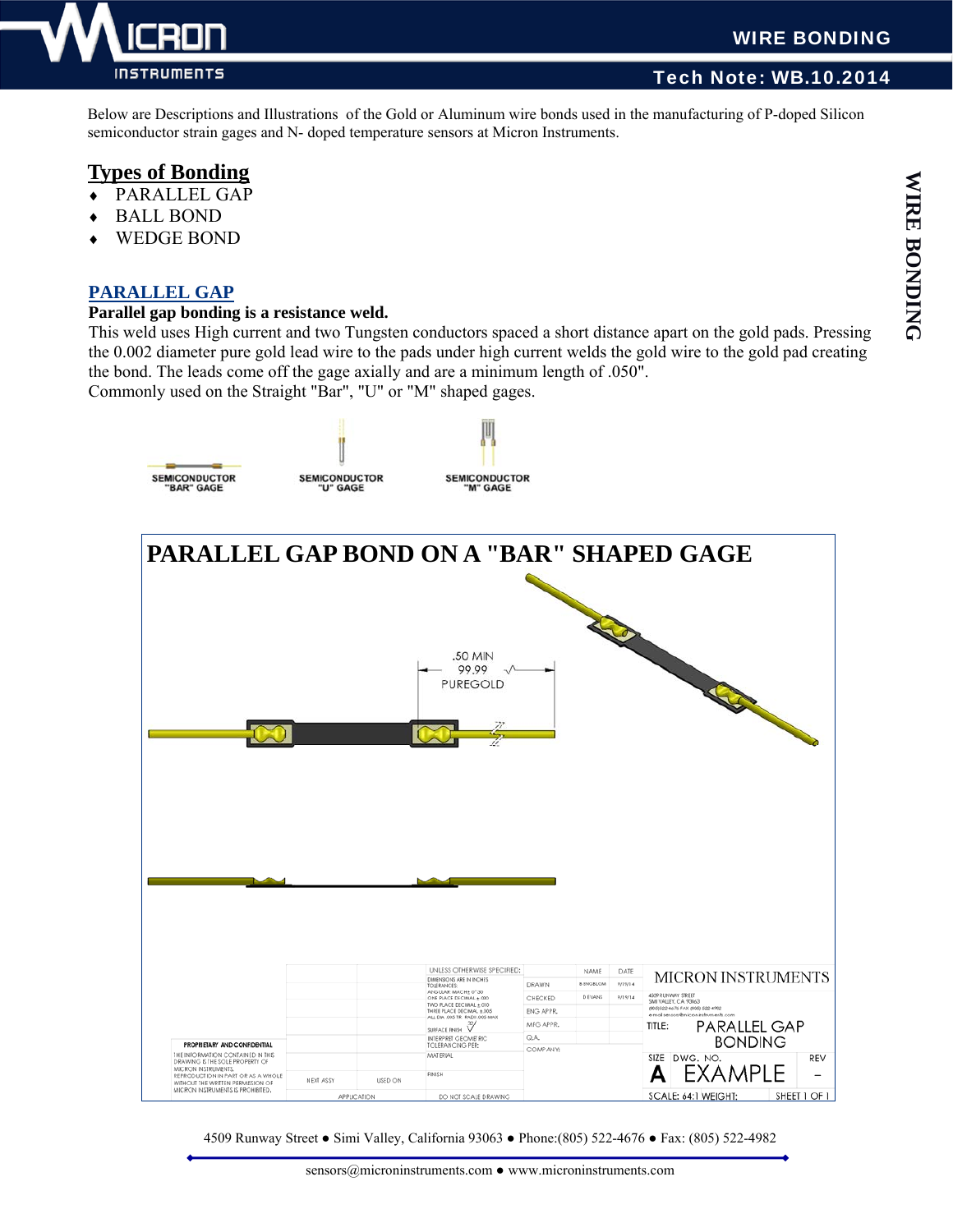

### WIRE BONDING

### Tech Note: WB.10.2014

Below are Descriptions and Illustrations of the Gold or Aluminum wire bonds used in the manufacturing of P-doped Silicon semiconductor strain gages and N- doped temperature sensors at Micron Instruments.

# **Types of Bonding**

- PARALLEL GAP
- BALL BOND
- WEDGE BOND

### **PARALLEL GAP**

#### **Parallel gap bonding is a resistance weld.**

This weld uses High current and two Tungsten conductors spaced a short distance apart on the gold pads. Pressing the 0.002 diameter pure gold lead wire to the pads under high current welds the gold wire to the gold pad creating the bond. The leads come off the gage axially and are a minimum length of .050".

Commonly used on the Straight "Bar", "U" or "M" shaped gages.



4509 Runway Street ● Simi Valley, California 93063 ● Phone:(805) 522-4676 ● Fax: (805) 522-4982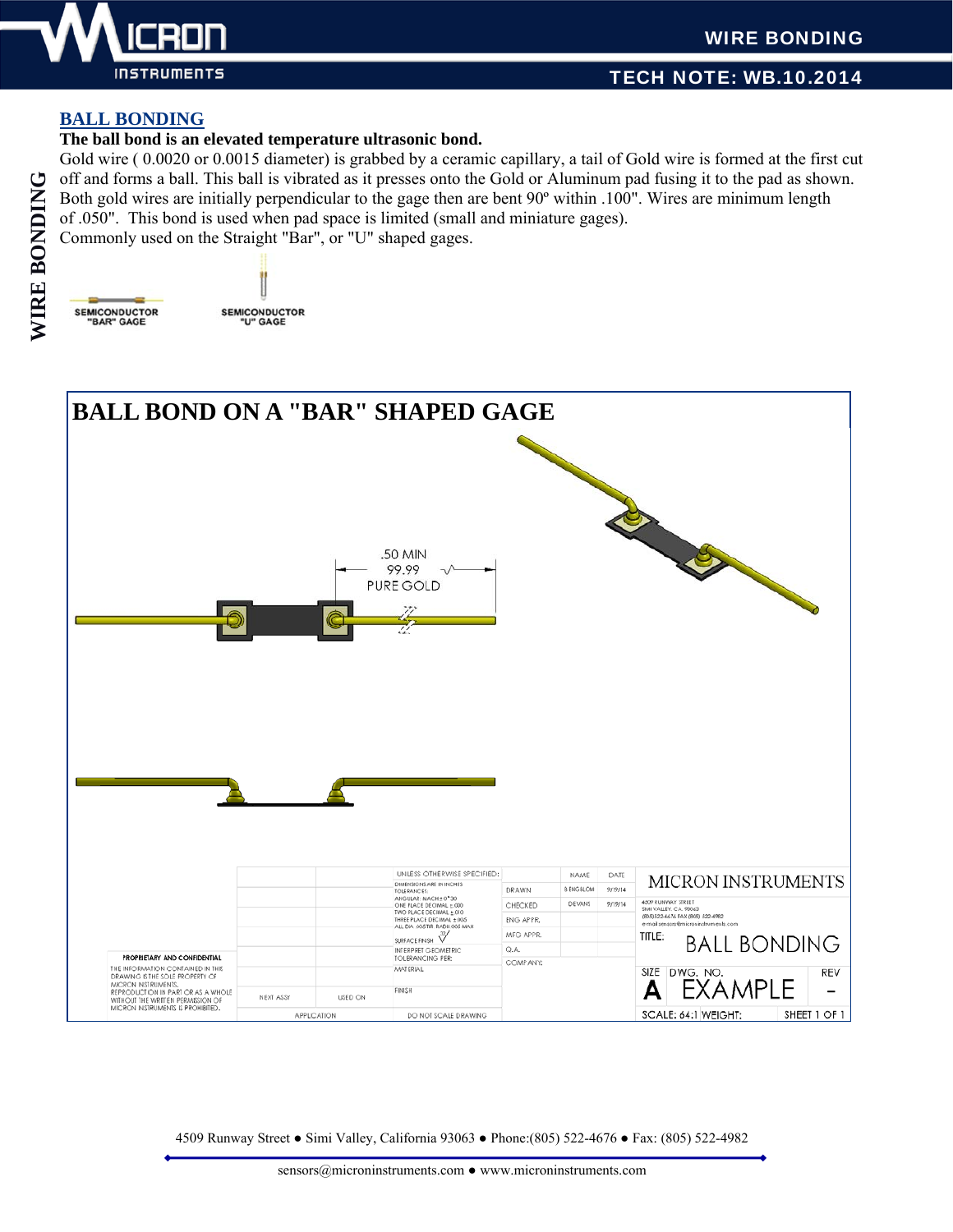

### WIRE BONDING

### TECH NOTE: WB.10.2014

#### **BALL BONDING**

#### **The ball bond is an elevated temperature ultrasonic bond.**

Gold wire (0.0020 or 0.0015 diameter) is grabbed by a ceramic capillary, a tail of Gold wire is formed at the first cut off and forms a ball. This ball is vibrated as it presses onto the Gold or Aluminum pad fusing it to the pad as shown. Both gold wires are initially perpendicular to the gage then are bent 90º within .100". Wires are minimum length of .050". This bond is used when pad space is limited (small and miniature gages).

Commonly used on the Straight "Bar", or "U" shaped gages.

SEMICONDUCTOR<br>"U" GAGE



4509 Runway Street ● Simi Valley, California 93063 ● Phone:(805) 522-4676 ● Fax: (805) 522-4982